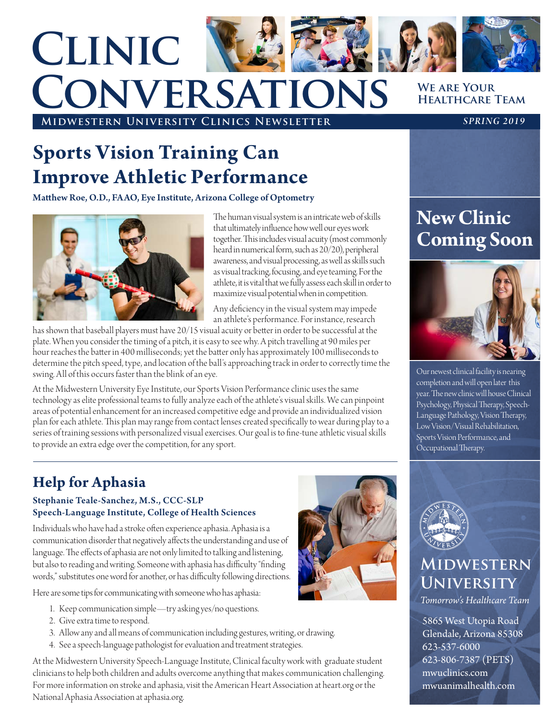# **We are Your Clinic Conversations**

**Midwestern University Clinics Newsletter** *SPRING 2019*

## **Healthcare Team**

### **Sports Vision Training Can Improve Athletic Performance**

Matthew Roe, O.D., FAAO, Eye Institute, Arizona College of Optometry



The human visual system is an intricate web of skills that ultimately influence how well our eyes work together. This includes visual acuity (most commonly heard in numerical form, such as 20/20), peripheral awareness, and visual processing, as well as skills such as visual tracking, focusing, and eye teaming. For the athlete, it is vital that we fully assess each skill in order to maximize visual potential when in competition.

Any deficiency in the visual system may impede an athlete's performance. For instance, research

has shown that baseball players must have 20/15 visual acuity or better in order to be successful at the plate. When you consider the timing of a pitch, it is easy to see why. A pitch travelling at 90 miles per hour reaches the batter in 400 milliseconds; yet the batter only has approximately 100 milliseconds to determine the pitch speed, type, and location of the ball's approaching track in order to correctly time the swing. All of this occurs faster than the blink of an eye.

At the Midwestern University Eye Institute, our Sports Vision Performance clinic uses the same technology as elite professional teams to fully analyze each of the athlete's visual skills. We can pinpoint areas of potential enhancement for an increased competitive edge and provide an individualized vision plan for each athlete. This plan may range from contact lenses created specifically to wear during play to a series of training sessions with personalized visual exercises. Our goal is to fine-tune athletic visual skills to provide an extra edge over the competition, for any sport.

### **New Clinic Coming Soon**



Our newest clinical facility is nearing completion and will open later this year. The new clinic will house Clinical Psychology, Physical Therapy, Speech-Language Pathology, Vision Therapy, Low Vision/Visual Rehabilitation, Sports Vision Performance, and Occupational Therapy.

### **Help for Aphasia**

#### Stephanie Teale-Sanchez, M.S., CCC-SLP Speech-Language Institute, College of Health Sciences

Individuals who have had a stroke often experience aphasia. Aphasia is a communication disorder that negatively affects the understanding and use of language. The effects of aphasia are not only limited to talking and listening, but also to reading and writing. Someone with aphasia has difficulty "finding words," substitutes one word for another, or has difficulty following directions.

Here are some tips for communicating with someone who has aphasia:

- 1. Keep communication simple—try asking yes/no questions.
- 2. Give extra time to respond.
- 3. Allow any and all means of communication including gestures, writing, or drawing.
- 4. See a speech-language pathologist for evaluation and treatment strategies.

At the Midwestern University Speech-Language Institute, Clinical faculty work with graduate student clinicians to help both children and adults overcome anything that makes communication challenging. For more information on stroke and aphasia, visit the American Heart Association at heart.org or the National Aphasia Association at aphasia.org.





### **Midwestern University**

*Tomorrow's Healthcare Team*

5865 West Utopia Road Glendale, Arizona 85308 623-537-6000 623-806-7387 (PETS) mwuclinics.com mwuanimalhealth.com